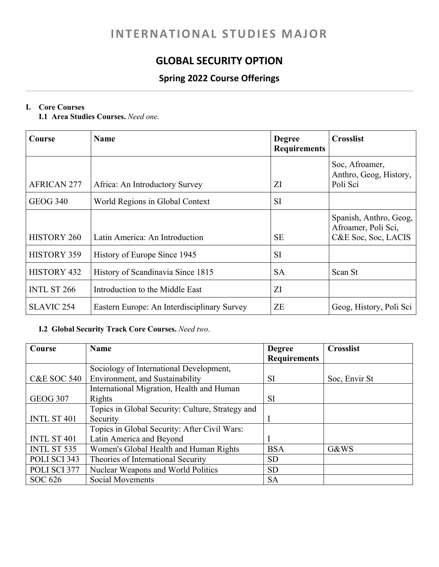# **INTERNATIONAL STUDIES MAJOR**

# **GLOBAL SECURITY OPTION**

## **Spring 2022 Course Offerings**

## **I. Core Courses**

**I.1 Area Studies Courses.** *Need one.*

| Course             | <b>Name</b>                                 | <b>Degree</b><br><b>Requirements</b> | <b>Crosslist</b>                                                     |
|--------------------|---------------------------------------------|--------------------------------------|----------------------------------------------------------------------|
| <b>AFRICAN 277</b> | Africa: An Introductory Survey              | ΖI                                   | Soc, Afroamer,<br>Anthro, Geog, History,<br>Poli Sci                 |
| <b>GEOG 340</b>    | World Regions in Global Context             | <b>SI</b>                            |                                                                      |
| <b>HISTORY 260</b> | Latin America: An Introduction              | <b>SE</b>                            | Spanish, Anthro, Geog,<br>Afroamer, Poli Sci,<br>C&E Soc, Soc, LACIS |
| <b>HISTORY 359</b> | History of Europe Since 1945                | SI                                   |                                                                      |
| HISTORY 432        | History of Scandinavia Since 1815           | <b>SA</b>                            | Scan St                                                              |
| <b>INTL ST 266</b> | Introduction to the Middle East             | ΖI                                   |                                                                      |
| <b>SLAVIC 254</b>  | Eastern Europe: An Interdisciplinary Survey | ZΕ                                   | Geog, History, Poli Sci                                              |

## **I.2 Global Security Track Core Courses.** *Need two.*

| Course                 | <b>Name</b>                                      | <b>Degree</b>       | <b>Crosslist</b> |
|------------------------|--------------------------------------------------|---------------------|------------------|
|                        |                                                  | <b>Requirements</b> |                  |
|                        | Sociology of International Development,          |                     |                  |
| <b>C&amp;E SOC 540</b> | Environment, and Sustainability                  | <b>SI</b>           | Soc, Envir St    |
|                        | International Migration, Health and Human        |                     |                  |
| <b>GEOG 307</b>        | Rights                                           | <b>SI</b>           |                  |
|                        | Topics in Global Security: Culture, Strategy and |                     |                  |
| <b>INTL ST 401</b>     | Security                                         |                     |                  |
|                        | Topics in Global Security: After Civil Wars:     |                     |                  |
| <b>INTL ST 401</b>     | Latin America and Beyond                         |                     |                  |
| <b>INTL ST 535</b>     | Women's Global Health and Human Rights           | <b>BSA</b>          | G&WS             |
| POLI SCI 343           | Theories of International Security               | <b>SD</b>           |                  |
| POLI SCI 377           | Nuclear Weapons and World Politics               | <b>SD</b>           |                  |
| SOC 626                | <b>Social Movements</b>                          | <b>SA</b>           |                  |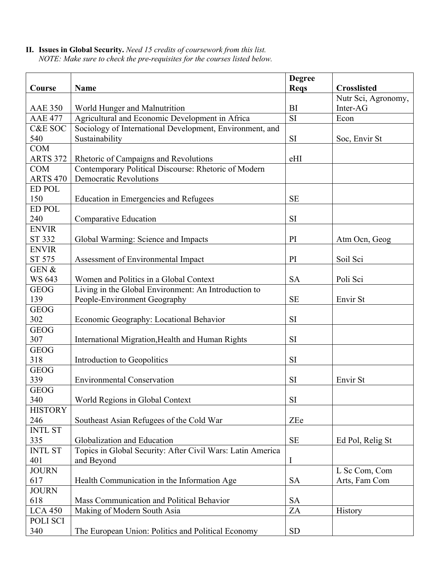**II. Issues in Global Security.** *Need 15 credits of coursework from this list. NOTE: Make sure to check the pre-requisites for the courses listed below.* 

|                    |                                                            | <b>Degree</b> |                     |
|--------------------|------------------------------------------------------------|---------------|---------------------|
| Course             | Name                                                       | <b>Reqs</b>   | <b>Crosslisted</b>  |
|                    |                                                            |               | Nutr Sci, Agronomy, |
| <b>AAE 350</b>     | World Hunger and Malnutrition                              | BI            | Inter-AG            |
| <b>AAE 477</b>     | Agricultural and Economic Development in Africa            | SI            | Econ                |
| <b>C&amp;E SOC</b> | Sociology of International Development, Environment, and   |               |                     |
| 540                | Sustainability                                             | SI            | Soc, Envir St       |
| <b>COM</b>         |                                                            |               |                     |
| <b>ARTS 372</b>    | Rhetoric of Campaigns and Revolutions                      | eHI           |                     |
| <b>COM</b>         | Contemporary Political Discourse: Rhetoric of Modern       |               |                     |
| <b>ARTS 470</b>    | <b>Democratic Revolutions</b>                              |               |                     |
| <b>ED POL</b>      |                                                            |               |                     |
| 150                | Education in Emergencies and Refugees                      | <b>SE</b>     |                     |
| <b>ED POL</b>      |                                                            |               |                     |
| 240                | Comparative Education                                      | SI            |                     |
| <b>ENVIR</b>       |                                                            |               |                     |
| ST 332             | Global Warming: Science and Impacts                        | PI            | Atm Ocn, Geog       |
| <b>ENVIR</b>       |                                                            |               |                     |
| ST 575             | Assessment of Environmental Impact                         | PI            | Soil Sci            |
| GEN &              |                                                            |               |                     |
| <b>WS 643</b>      | Women and Politics in a Global Context                     | <b>SA</b>     | Poli Sci            |
| <b>GEOG</b>        | Living in the Global Environment: An Introduction to       |               |                     |
| 139                | People-Environment Geography                               | <b>SE</b>     | Envir St            |
| <b>GEOG</b>        |                                                            |               |                     |
| 302                | Economic Geography: Locational Behavior                    | SI            |                     |
| <b>GEOG</b>        |                                                            |               |                     |
| 307                | International Migration, Health and Human Rights           | SI            |                     |
| <b>GEOG</b>        |                                                            |               |                     |
| 318                | Introduction to Geopolitics                                | SI            |                     |
| <b>GEOG</b>        |                                                            |               |                     |
| 339                | <b>Environmental Conservation</b>                          | SI            | Envir St            |
| <b>GEOG</b>        |                                                            |               |                     |
| 340                | World Regions in Global Context                            | SI            |                     |
| <b>HISTORY</b>     |                                                            |               |                     |
| 246                | Southeast Asian Refugees of the Cold War                   | ZEe           |                     |
| <b>INTL ST</b>     |                                                            |               |                     |
| 335                | Globalization and Education                                | $\rm SE$      | Ed Pol, Relig St    |
| <b>INTL ST</b>     | Topics in Global Security: After Civil Wars: Latin America |               |                     |
| 401                | and Beyond                                                 | I             |                     |
| <b>JOURN</b>       |                                                            |               | L Sc Com, Com       |
| 617                | Health Communication in the Information Age                | <b>SA</b>     | Arts, Fam Com       |
| <b>JOURN</b>       |                                                            |               |                     |
| 618                | Mass Communication and Political Behavior                  | <b>SA</b>     |                     |
| <b>LCA 450</b>     | Making of Modern South Asia                                | ZA            | History             |
| POLI SCI           |                                                            |               |                     |
| 340                | The European Union: Politics and Political Economy         | <b>SD</b>     |                     |